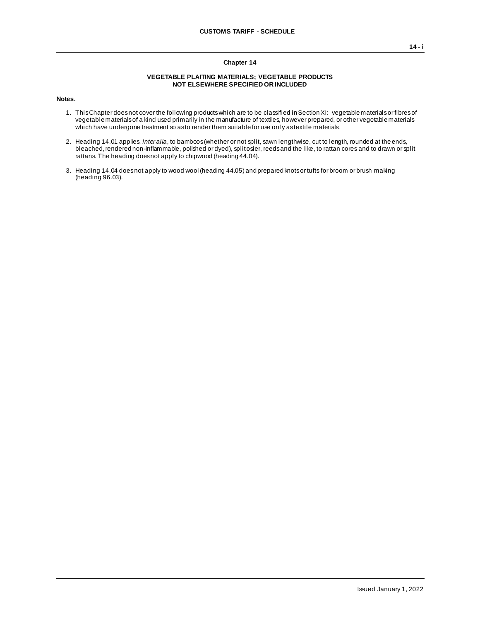## **VEGETABLE PLAITING MATERIALS; VEGETABLE PRODUCTS NOT ELSEWHERE SPECIFIED OR INCLUDED**

**Notes.**

- 1. This Chapter does not cover the following products which are to be classified in Section XI: vegetable materials or fibres of vegetable materials of a kind used primarily in the manufacture of textiles, however prepared, or other vegetable materials which have undergone treatment so as to render them suitable for use only as textile materials.
- 2. Heading 14.01 applies, *inter alia*, to bamboos (whether or not split, sawn lengthwise, cut to length, rounded at the ends, bleached, rendered non-inflammable, polished or dyed), split osier, reeds and the like, to rattan cores and to drawn or split rattans. The heading does not apply to chipwood (heading 44.04).
- 3. Heading 14.04 does not apply to wood wool (heading 44.05) and prepared knots or tufts for broom or brush making (heading 96.03).